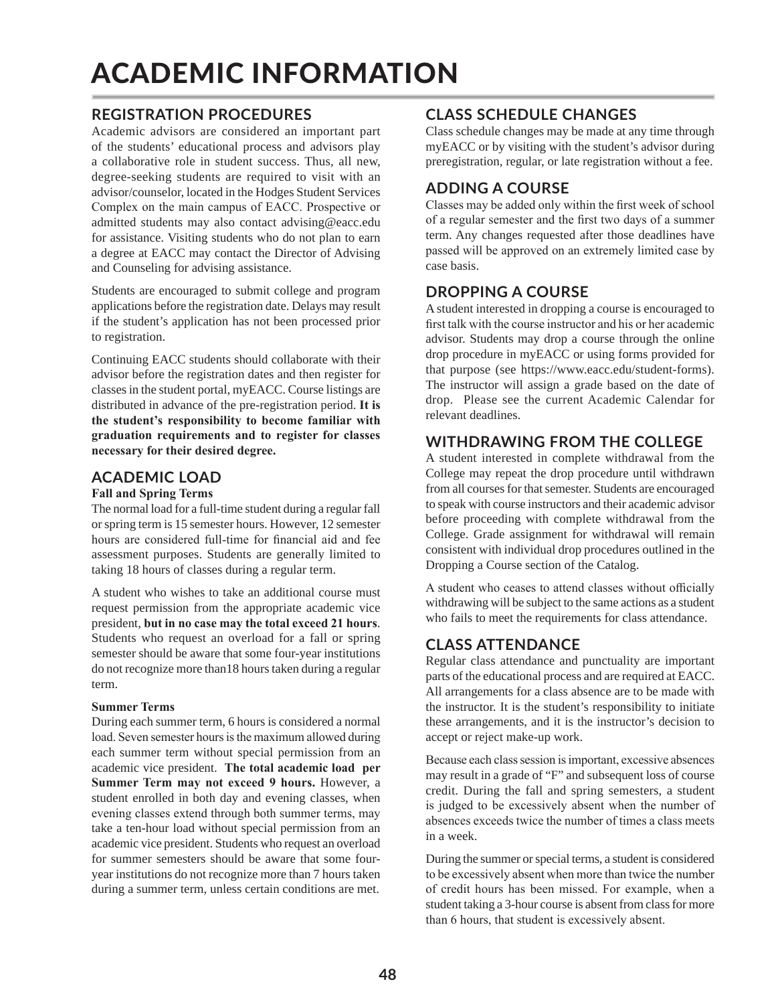# ACADEMIC INFORMATION

## **REGISTRATION PROCEDURES**

Academic advisors are considered an important part of the students' educational process and advisors play a collaborative role in student success. Thus, all new, degree-seeking students are required to visit with an advisor/counselor, located in the Hodges Student Services Complex on the main campus of EACC. Prospective or admitted students may also contact advising@eacc.edu for assistance. Visiting students who do not plan to earn a degree at EACC may contact the Director of Advising and Counseling for advising assistance.

Students are encouraged to submit college and program applications before the registration date. Delays may result if the student's application has not been processed prior to registration.

Continuing EACC students should collaborate with their advisor before the registration dates and then register for classes in the student portal, myEACC. Course listings are distributed in advance of the pre-registration period. **It is the student's responsibility to become familiar with graduation requirements and to register for classes necessary for their desired degree.**

# **ACADEMIC LOAD**

#### **Fall and Spring Terms**

The normal load for a full-time student during a regular fall or spring term is 15 semester hours. However, 12 semester hours are considered full-time for financial aid and fee assessment purposes. Students are generally limited to taking 18 hours of classes during a regular term.

A student who wishes to take an additional course must request permission from the appropriate academic vice president, **but in no case may the total exceed 21 hours**. Students who request an overload for a fall or spring semester should be aware that some four-year institutions do not recognize more than18 hours taken during a regular term.

#### **Summer Terms**

During each summer term, 6 hours is considered a normal load. Seven semester hours is the maximum allowed during each summer term without special permission from an academic vice president. **The total academic load per Summer Term may not exceed 9 hours.** However, a student enrolled in both day and evening classes, when evening classes extend through both summer terms, may take a ten-hour load without special permission from an academic vice president. Students who request an overload for summer semesters should be aware that some fouryear institutions do not recognize more than 7 hours taken during a summer term, unless certain conditions are met.

# **CLASS SCHEDULE CHANGES**

Class schedule changes may be made at any time through myEACC or by visiting with the student's advisor during preregistration, regular, or late registration without a fee.

# **ADDING A COURSE**

Classes may be added only within the first week of school of a regular semester and the first two days of a summer term. Any changes requested after those deadlines have passed will be approved on an extremely limited case by case basis.

# **DROPPING A COURSE**

A student interested in dropping a course is encouraged to first talk with the course instructor and his or her academic advisor. Students may drop a course through the online drop procedure in myEACC or using forms provided for that purpose (see https://www.eacc.edu/student-forms). The instructor will assign a grade based on the date of drop. Please see the current Academic Calendar for relevant deadlines.

# **WITHDRAWING FROM THE COLLEGE**

A student interested in complete withdrawal from the College may repeat the drop procedure until withdrawn from all courses for that semester. Students are encouraged to speak with course instructors and their academic advisor before proceeding with complete withdrawal from the College. Grade assignment for withdrawal will remain consistent with individual drop procedures outlined in the Dropping a Course section of the Catalog.

A student who ceases to attend classes without officially withdrawing will be subject to the same actions as a student who fails to meet the requirements for class attendance.

# **CLASS ATTENDANCE**

Regular class attendance and punctuality are important parts of the educational process and are required at EACC. All arrangements for a class absence are to be made with the instructor. It is the student's responsibility to initiate these arrangements, and it is the instructor's decision to accept or reject make-up work.

Because each class session is important, excessive absences may result in a grade of "F" and subsequent loss of course credit. During the fall and spring semesters, a student is judged to be excessively absent when the number of absences exceeds twice the number of times a class meets in a week.

During the summer or special terms, a student is considered to be excessively absent when more than twice the number of credit hours has been missed. For example, when a student taking a 3-hour course is absent from class for more than 6 hours, that student is excessively absent.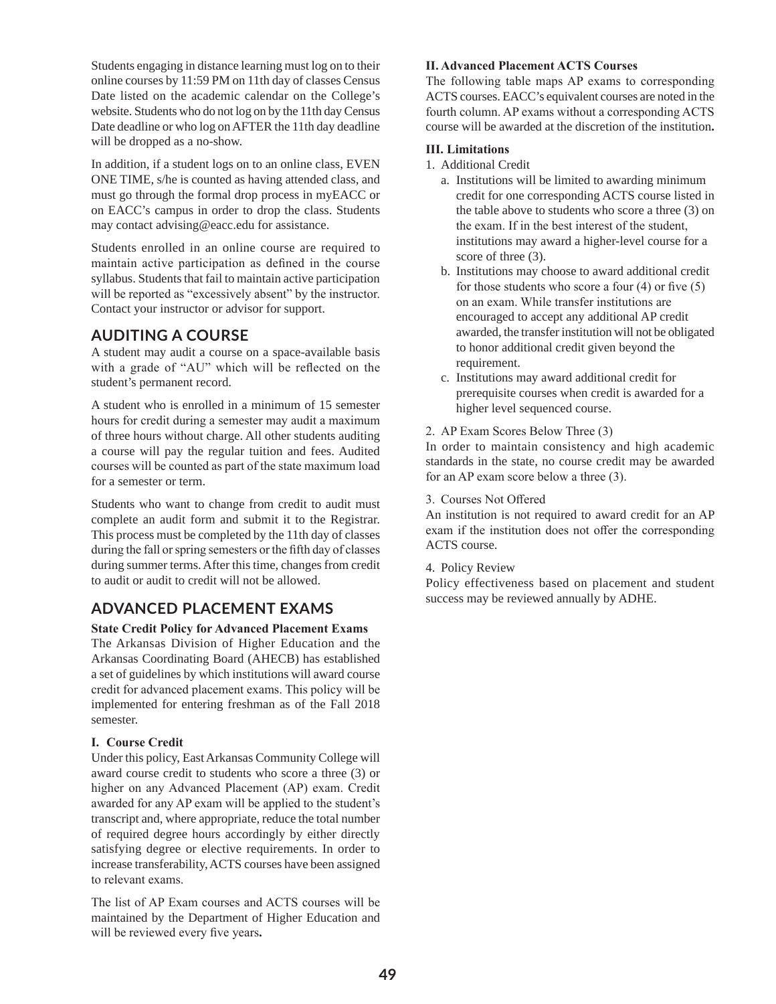Students engaging in distance learning must log on to their online courses by 11:59 PM on 11th day of classes Census Date listed on the academic calendar on the College's website. Students who do not log on by the 11th day Census Date deadline or who log on AFTER the 11th day deadline will be dropped as a no-show.

In addition, if a student logs on to an online class, EVEN ONE TIME, s/he is counted as having attended class, and must go through the formal drop process in myEACC or on EACC's campus in order to drop the class. Students may contact advising@eacc.edu for assistance.

Students enrolled in an online course are required to maintain active participation as defined in the course syllabus. Students that fail to maintain active participation will be reported as "excessively absent" by the instructor. Contact your instructor or advisor for support.

#### **AUDITING A COURSE**

A student may audit a course on a space-available basis with a grade of "AU" which will be reflected on the student's permanent record.

A student who is enrolled in a minimum of 15 semester hours for credit during a semester may audit a maximum of three hours without charge. All other students auditing a course will pay the regular tuition and fees. Audited courses will be counted as part of the state maximum load for a semester or term.

Students who want to change from credit to audit must complete an audit form and submit it to the Registrar. This process must be completed by the 11th day of classes during the fall or spring semesters or the fifth day of classes during summer terms. After this time, changes from credit to audit or audit to credit will not be allowed.

# **ADVANCED PLACEMENT EXAMS**

#### **State Credit Policy for Advanced Placement Exams**

The Arkansas Division of Higher Education and the Arkansas Coordinating Board (AHECB) has established a set of guidelines by which institutions will award course credit for advanced placement exams. This policy will be implemented for entering freshman as of the Fall 2018 semester.

#### **I. Course Credit**

Under this policy, East Arkansas Community College will award course credit to students who score a three (3) or higher on any Advanced Placement (AP) exam. Credit awarded for any AP exam will be applied to the student's transcript and, where appropriate, reduce the total number of required degree hours accordingly by either directly satisfying degree or elective requirements. In order to increase transferability, ACTS courses have been assigned to relevant exams.

The list of AP Exam courses and ACTS courses will be maintained by the Department of Higher Education and will be reviewed every five years**.**

#### **II. Advanced Placement ACTS Courses**

The following table maps AP exams to corresponding ACTS courses. EACC's equivalent courses are noted in the fourth column. AP exams without a corresponding ACTS course will be awarded at the discretion of the institution**.**

#### **III. Limitations**

- 1. Additional Credit
	- a. Institutions will be limited to awarding minimum credit for one corresponding ACTS course listed in the table above to students who score a three (3) on the exam. If in the best interest of the student, institutions may award a higher-level course for a score of three  $(3)$ .
	- b. Institutions may choose to award additional credit for those students who score a four (4) or five (5) on an exam. While transfer institutions are encouraged to accept any additional AP credit awarded, the transfer institution will not be obligated to honor additional credit given beyond the requirement.
	- c. Institutions may award additional credit for prerequisite courses when credit is awarded for a higher level sequenced course.
- 2. AP Exam Scores Below Three (3)

In order to maintain consistency and high academic standards in the state, no course credit may be awarded for an AP exam score below a three (3).

3. Courses Not Offered

An institution is not required to award credit for an AP exam if the institution does not offer the corresponding ACTS course.

#### 4. Policy Review

Policy effectiveness based on placement and student success may be reviewed annually by ADHE.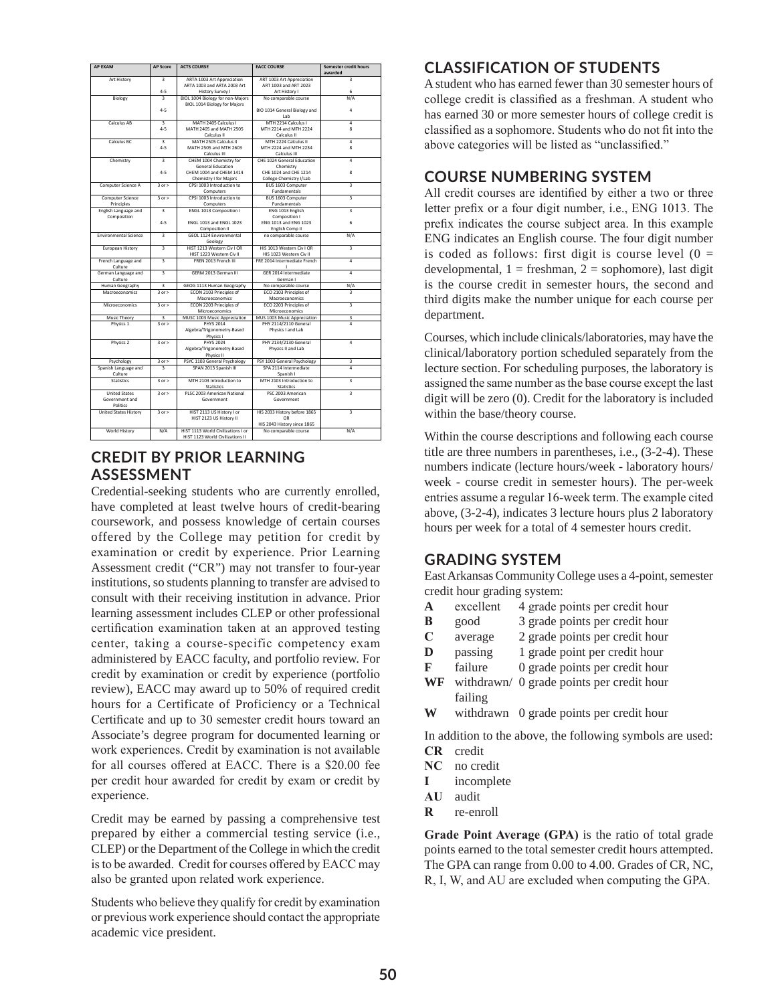| <b>AP EXAM</b>                                     | <b>AP Score</b>         | <b>ACTS COURSE</b>                                                      | <b>EACC COURSE</b>                                                | Semester credit hours<br>awarded |
|----------------------------------------------------|-------------------------|-------------------------------------------------------------------------|-------------------------------------------------------------------|----------------------------------|
| Art History                                        | $\overline{\mathbf{a}}$ | ARTA 1003 Art Appreciation<br>ARTA 1003 and ARTA 2003 Art               | ART 1003 Art Appreciation<br>ART 1003 and ART 2023                | $\overline{\mathbf{3}}$          |
|                                                    | $4 - 5$                 | <b>History Survey I</b>                                                 | Art History I                                                     | 6                                |
| Biology                                            | $\overline{\mathbf{a}}$ | BIOL 1004 Biology for non-Majors<br><b>BIOL 1014 Biology for Maiors</b> | No comparable course                                              | N/A                              |
|                                                    | $4 - 5$                 |                                                                         | BIO 1014 General Biology and<br>Lab                               | $\overline{a}$                   |
| Calculus AB                                        | 3                       | MATH 2405 Calculus I                                                    | MTH 2214 Calculus I                                               | 4                                |
|                                                    | $4 - 5$                 | MATH 2405 and MATH 2505<br>Calculus II                                  | MTH 2214 and MTH 2224<br>Calculus II                              | $\mathbf{\hat{z}}$               |
| Calculus BC                                        | $\overline{\mathbf{3}}$ | MATH 2505 Calculus II                                                   | MTH 2224 Calculus II                                              | $\overline{a}$                   |
|                                                    | $4 - 5$                 | MATH 2505 and MTH 2603<br>Calculus III                                  | MTH 2224 and MTH 2234<br>Calculus III                             | 8                                |
| Chemistry                                          | $\overline{\mathbf{3}}$ | CHEM 1004 Chemistry for<br><b>General Education</b>                     | CHE 1024 General Education<br>Chemistry                           | $\overline{a}$                   |
|                                                    | $4 - 5$                 | CHEM 1004 and CHEM 1414<br>Chemistry I for Majors                       | CHE 1024 and CHE 1214<br>College Chemistry I/Lab                  | 8                                |
| Computer Science A                                 | $3$ or $>$              | CPSI 1003 Introduction to<br>Computers                                  | BUS 1603 Computer<br>Fundamentals                                 | $\overline{\mathbf{3}}$          |
| Computer Science<br>Principles                     | $3$ or $>$              | CPSI 1003 Introduction to<br>Computers                                  | BUS 1603 Computer<br><b>Fundamentals</b>                          | $\overline{\mathbf{3}}$          |
| English Language and<br>Composition                | $\overline{\mathbf{a}}$ | ENGL 1013 Composition I                                                 | ENG 1013 English<br>Composition I                                 | $\overline{\mathbf{3}}$          |
|                                                    | $4 - 5$                 | <b>ENGL 1013 and ENGL 1023</b><br>Composition II                        | ENG 1013 and ENG 1023<br>English Comp II                          | 6                                |
| <b>Environmental Science</b>                       | 3                       | GEOL 1124 Environmental<br>Geology                                      | no comparable course                                              | N/A                              |
| European History                                   | $\overline{\mathbf{a}}$ | HIST 1213 Western Civ I OR<br>HIST 1223 Western Civ II                  | HIS 1013 Western Civ LOR<br>HIS 1023 Western Civ II               | $\overline{\mathbf{a}}$          |
| French Language and<br>Culture                     | $\overline{\mathbf{3}}$ | FREN 2013 French III                                                    | FRE 2014 Intermediate French                                      | $\overline{a}$                   |
| German Language and<br>Culture                     | $\overline{\mathbf{a}}$ | GERM 2013 German III                                                    | GFR 2014 Intermediate<br>German I                                 | $\overline{a}$                   |
| Human Geography                                    | $\overline{\mathbf{3}}$ | GEOG 1113 Human Geography                                               | No comparable course                                              | N/A                              |
| Macroeconomics                                     | $3$ or $>$              | ECON 2103 Principles of<br>Macroeconomics                               | ECO 2103 Principles of<br>Macroeconomics                          | $\overline{\mathbf{3}}$          |
| Microeconomics                                     | $3$ or $>$              | ECON 2203 Principles of<br>Microeconomics                               | ECO 2203 Principles of<br>Microeconomics                          | 3                                |
| Music Theory                                       | $\overline{\mathbf{3}}$ | MUSC 1003 Music Appreciation                                            | MUS 1003 Music Appreciation                                       | 3                                |
| Physics 1                                          | $3$ or $>$              | <b>PHYS 2014</b><br>Algebra/Trigonometry-Based<br>Physics I             | PHY 2114/2110 General<br>Physics I and Lab                        | $\overline{a}$                   |
| Physics 2                                          | $3$ or $>$              | <b>PHYS 2024</b><br>Algebra/Trigonometry-Based<br>Physics II            | PHY 2134/2130 General<br>Physics II and Lab                       | $\overline{a}$                   |
| Psychology                                         | $3$ or $>$              | PSYC 1103 General Psychology                                            | PSY 1003 General Psychology                                       | 3                                |
| Spanish Language and<br>Culture                    | $\overline{\mathbf{3}}$ | SPAN 2013 Spanish III                                                   | SPA 2114 Intermediate<br>Spanish I                                | $\overline{a}$                   |
| <b>Statistics</b>                                  | $3$ or $>$              | MTH 2103 Introduction to<br><b>Statistics</b>                           | MTH 2103 Introduction to<br><b>Statistics</b>                     | $\overline{\mathbf{3}}$          |
| <b>United States</b><br>Government and<br>Politics | $3$ or $>$              | PLSC 2003 American National<br>Government                               | PSC 2003 American<br>Government                                   | $\overline{\mathbf{3}}$          |
| United States History                              | $3$ or $>$              | HIST 2113 US History I or<br>HIST 2123 US History II                    | HIS 2033 History before 1865<br>OR<br>HIS 2043 History since 1865 | $\overline{\mathbf{3}}$          |
| World History                                      | N/A                     | HIST 1113 World Civilizations I or<br>HIST 1123 World Civilizations II  | No comparable course                                              | N/A                              |

## **CREDIT BY PRIOR LEARNING ASSESSMENT**

Credential-seeking students who are currently enrolled, have completed at least twelve hours of credit-bearing coursework, and possess knowledge of certain courses offered by the College may petition for credit by examination or credit by experience. Prior Learning Assessment credit ("CR") may not transfer to four-year institutions, so students planning to transfer are advised to consult with their receiving institution in advance. Prior learning assessment includes CLEP or other professional certification examination taken at an approved testing center, taking a course-specific competency exam administered by EACC faculty, and portfolio review. For credit by examination or credit by experience (portfolio review), EACC may award up to 50% of required credit hours for a Certificate of Proficiency or a Technical Certificate and up to 30 semester credit hours toward an Associate's degree program for documented learning or work experiences. Credit by examination is not available for all courses offered at EACC. There is a \$20.00 fee per credit hour awarded for credit by exam or credit by experience.

Credit may be earned by passing a comprehensive test prepared by either a commercial testing service (i.e., CLEP) or the Department of the College in which the credit is to be awarded. Credit for courses offered by EACC may also be granted upon related work experience.

Students who believe they qualify for credit by examination or previous work experience should contact the appropriate academic vice president.

# **CLASSIFICATION OF STUDENTS**

A student who has earned fewer than 30 semester hours of college credit is classified as a freshman. A student who has earned 30 or more semester hours of college credit is classified as a sophomore. Students who do not fit into the above categories will be listed as "unclassified."

## **COURSE NUMBERING SYSTEM**

All credit courses are identified by either a two or three letter prefix or a four digit number, i.e., ENG 1013. The prefix indicates the course subject area. In this example ENG indicates an English course. The four digit number is coded as follows: first digit is course level  $(0 =$ developmental,  $1 =$  freshman,  $2 =$  sophomore), last digit is the course credit in semester hours, the second and third digits make the number unique for each course per department.

Courses, which include clinicals/laboratories, may have the clinical/laboratory portion scheduled separately from the lecture section. For scheduling purposes, the laboratory is assigned the same number as the base course except the last digit will be zero (0). Credit for the laboratory is included within the base/theory course.

Within the course descriptions and following each course title are three numbers in parentheses, i.e., (3-2-4). These numbers indicate (lecture hours/week - laboratory hours/ week - course credit in semester hours). The per-week entries assume a regular 16-week term. The example cited above, (3-2-4), indicates 3 lecture hours plus 2 laboratory hours per week for a total of 4 semester hours credit.

## **GRADING SYSTEM**

East Arkansas Community College uses a 4-point, semester credit hour grading system:

- A excellent 4 grade points per credit hour
- **B** good 3 grade points per credit hour
- **C** average 2 grade points per credit hour
- **D** passing 1 grade point per credit hour
- **F** failure 0 grade points per credit hour
- **WF** withdrawn/ 0 grade points per credit hour failing
- **W** withdrawn 0 grade points per credit hour

In addition to the above, the following symbols are used: **CR** credit

- **NC** no credit
- **I** incomplete
- **AU** audit
- **R** re-enroll

**Grade Point Average (GPA)** is the ratio of total grade points earned to the total semester credit hours attempted. The GPA can range from 0.00 to 4.00. Grades of CR, NC, R, I, W, and AU are excluded when computing the GPA.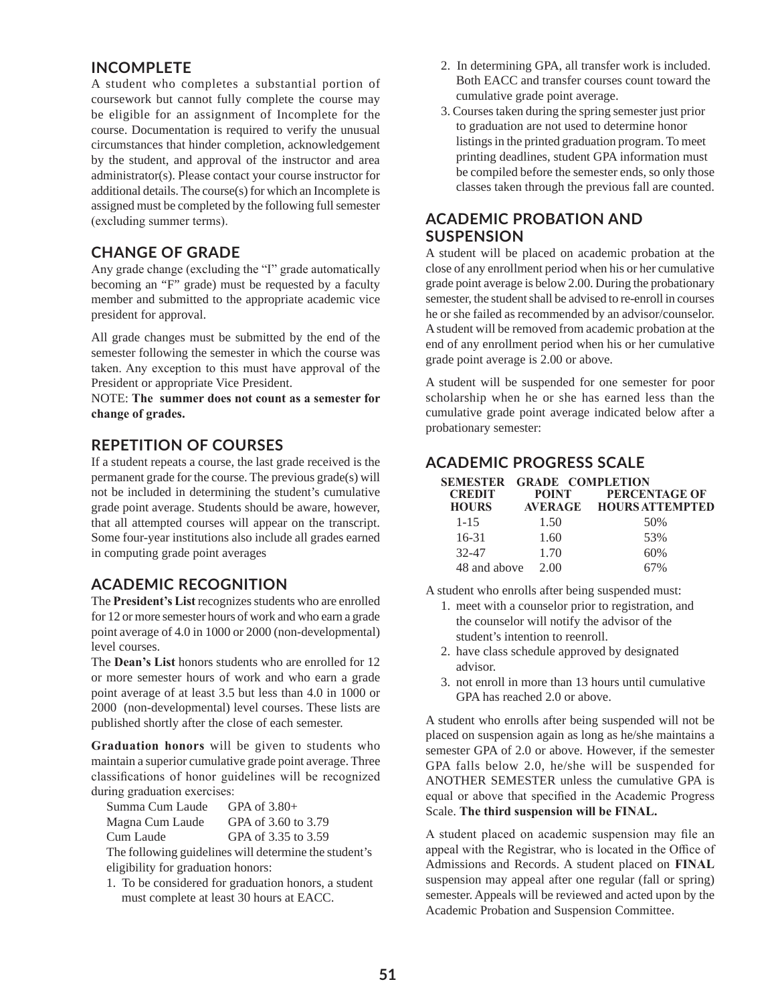## **INCOMPLETE**

A student who completes a substantial portion of coursework but cannot fully complete the course may be eligible for an assignment of Incomplete for the course. Documentation is required to verify the unusual circumstances that hinder completion, acknowledgement by the student, and approval of the instructor and area administrator(s). Please contact your course instructor for additional details. The course(s) for which an Incomplete is assigned must be completed by the following full semester (excluding summer terms).

#### **CHANGE OF GRADE**

Any grade change (excluding the "I" grade automatically becoming an "F" grade) must be requested by a faculty member and submitted to the appropriate academic vice president for approval.

All grade changes must be submitted by the end of the semester following the semester in which the course was taken. Any exception to this must have approval of the President or appropriate Vice President.

NOTE: **The summer does not count as a semester for change of grades.** 

#### **REPETITION OF COURSES**

If a student repeats a course, the last grade received is the permanent grade for the course. The previous grade(s) will not be included in determining the student's cumulative grade point average. Students should be aware, however, that all attempted courses will appear on the transcript. Some four-year institutions also include all grades earned in computing grade point averages

## **ACADEMIC RECOGNITION**

The **President's List** recognizes students who are enrolled for 12 or more semester hours of work and who earn a grade point average of 4.0 in 1000 or 2000 (non-developmental) level courses.

The **Dean's List** honors students who are enrolled for 12 or more semester hours of work and who earn a grade point average of at least 3.5 but less than 4.0 in 1000 or 2000 (non-developmental) level courses. These lists are published shortly after the close of each semester.

**Graduation honors** will be given to students who maintain a superior cumulative grade point average. Three classifications of honor guidelines will be recognized during graduation exercises:

Summa Cum Laude GPA of 3.80+ Magna Cum Laude GPA of 3.60 to 3.79 Cum Laude GPA of 3.35 to 3.59 The following guidelines will determine the student's eligibility for graduation honors:

1. To be considered for graduation honors, a student must complete at least 30 hours at EACC.

- 2. In determining GPA, all transfer work is included. Both EACC and transfer courses count toward the cumulative grade point average.
- 3. Courses taken during the spring semester just prior to graduation are not used to determine honor listings in the printed graduation program. To meet printing deadlines, student GPA information must be compiled before the semester ends, so only those classes taken through the previous fall are counted.

# **ACADEMIC PROBATION AND SUSPENSION**

A student will be placed on academic probation at the close of any enrollment period when his or her cumulative grade point average is below 2.00. During the probationary semester, the student shall be advised to re-enroll in courses he or she failed as recommended by an advisor/counselor. A student will be removed from academic probation at the end of any enrollment period when his or her cumulative grade point average is 2.00 or above.

A student will be suspended for one semester for poor scholarship when he or she has earned less than the cumulative grade point average indicated below after a probationary semester:

# **ACADEMIC PROGRESS SCALE**

|                               | SEMESTER GRADE COMPLETION |                                                 |
|-------------------------------|---------------------------|-------------------------------------------------|
| <b>CREDIT</b><br><b>HOURS</b> | <b>POINT</b>              | <b>PERCENTAGE OF</b><br>AVERAGE HOURS ATTEMPTED |
| $1 - 15$                      | 1.50                      | 50%                                             |
| $16 - 31$                     | 1.60                      | 53%                                             |
| $32 - 47$                     | 1.70                      | 60%                                             |
| 48 and above                  | 2.00                      | 67%                                             |

A student who enrolls after being suspended must:

- 1. meet with a counselor prior to registration, and the counselor will notify the advisor of the student's intention to reenroll.
- 2. have class schedule approved by designated advisor.
- 3. not enroll in more than 13 hours until cumulative GPA has reached 2.0 or above.

A student who enrolls after being suspended will not be placed on suspension again as long as he/she maintains a semester GPA of 2.0 or above. However, if the semester GPA falls below 2.0, he/she will be suspended for ANOTHER SEMESTER unless the cumulative GPA is equal or above that specified in the Academic Progress Scale. **The third suspension will be FINAL.**

A student placed on academic suspension may file an appeal with the Registrar, who is located in the Office of Admissions and Records. A student placed on **FINAL** suspension may appeal after one regular (fall or spring) semester. Appeals will be reviewed and acted upon by the Academic Probation and Suspension Committee.